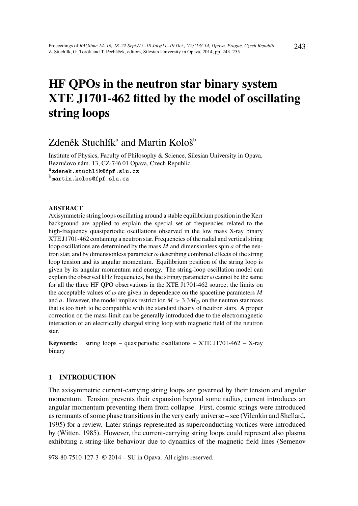# HF QPOs in the neutron star binary system XTE J1701-462 fitted by the model of oscillating string loops

# Zdeněk Stuchlík $^{\rm a}$  and Martin Kološ $^{\rm b}$

Institute of Physics, Faculty of Philosophy & Science, Silesian University in Opava, Bezručovo nám. 13, CZ-746 01 Opava, Czech Republic <sup>a</sup>zdenek.stuchlik@fpf.slu.cz  $^{\rm b}$ martin.kolos@fpf.slu.cz

#### ABSTRACT

Axisymmetric string loops oscillating around a stable equilibrium position in the Kerr background are applied to explain the special set of frequencies related to the high-frequency quasiperiodic oscillations observed in the low mass X-ray binary XTE J1701-462 containing a neutron star. Frequencies of the radial and vertical string loop oscillations are determined by the mass *M* and dimensionless spin *a* of the neutron star, and by dimensionless parameter  $\omega$  describing combined effects of the string loop tension and its angular momentum. Equilibrium position of the string loop is given by its angular momentum and energy. The string-loop oscillation model can explain the observed kHz frequencies, but the stringy parameter  $\omega$  cannot be the same for all the three HF QPO observations in the XTE J1701-462 source; the limits on the acceptable values of  $\omega$  are given in dependence on the spacetime parameters  $M$ and *a*. However, the model implies restrict ion  $M > 3.3 M_{\odot}$  on the neutron star mass that is too high to be compatible with the standard theory of neutron stars. A proper correction on the mass-limit can be generally introduced due to the electromagnetic interaction of an electrically charged string loop with magnetic field of the neutron star.

**Keywords:** string loops – quasiperiodic oscillations – XTE J1701-462 – X-ray binary

#### 1 INTRODUCTION

The axisymmetric current-carrying string loops are governed by their tension and angular momentum. Tension prevents their expansion beyond some radius, current introduces an angular momentum preventing them from collapse. First, cosmic strings were introduced as remnants of some phase transitions in the very early universe – see (Vilenkin and Shellard, 1995) for a review. Later strings represented as superconducting vortices were introduced by (Witten, 1985). However, the current-carrying string loops could represent also plasma exhibiting a string-like behaviour due to dynamics of the magnetic field lines (Semenov

978-80-7510-127-3 © 2014 – SU in Opava. All rights reserved.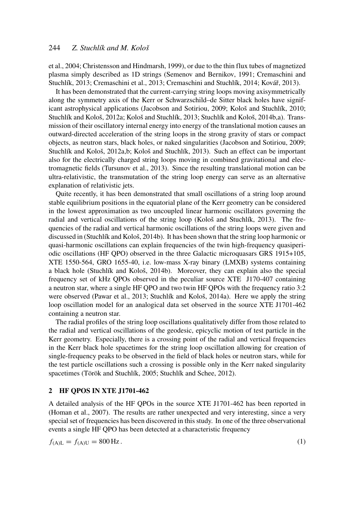et al., 2004; Christensson and Hindmarsh, 1999), or due to the thin flux tubes of magnetized plasma simply described as 1D strings (Semenov and Bernikov, 1991; Cremaschini and Stuchlík, 2013; Cremaschini et al., 2013; Cremaschini and Stuchlík, 2014; Kovář, 2013).

It has been demonstrated that the current-carrying string loops moving axisymmetrically along the symmetry axis of the Kerr or Schwarzschild–de Sitter black holes have significant astrophysical applications (Jacobson and Sotiriou, 2009; Kološ and Stuchlík, 2010; Stuchlík and Kološ, 2012a; Kološ and Stuchlík, 2013; Stuchlík and Kološ, 2014b,a). Transmission of their oscillatory internal energy into energy of the translational motion causes an outward-directed acceleration of the string loops in the strong gravity of stars or compact objects, as neutron stars, black holes, or naked singularities (Jacobson and Sotiriou, 2009; Stuchlík and Kološ, 2012a,b; Kološ and Stuchlík, 2013). Such an effect can be important also for the electrically charged string loops moving in combined gravitational and electromagnetic fields (Tursunov et al., 2013). Since the resulting translational motion can be ultra-relativistic, the transmutation of the string loop energy can serve as an alternative explanation of relativistic jets.

Quite recently, it has been demonstrated that small oscillations of a string loop around stable equilibrium positions in the equatorial plane of the Kerr geometry can be considered in the lowest approximation as two uncoupled linear harmonic oscillators governing the radial and vertical oscillations of the string loop (Kološ and Stuchlík, 2013). The frequencies of the radial and vertical harmonic oscillations of the string loops were given and discussed in (Stuchlík and Kološ, 2014b). It has been shown that the string loop harmonic or quasi-harmonic oscillations can explain frequencies of the twin high-frequency quasiperiodic oscillations (HF QPO) observed in the three Galactic microquasars GRS 1915+105, XTE 1550-564, GRO 1655-40, i.e. low-mass X-ray binary (LMXB) systems containing a black hole (Stuchlík and Kološ, 2014b). Moreover, they can explain also the special frequency set of kHz QPOs observed in the peculiar source XTE J170-407 containing a neutron star, where a single HF QPO and two twin HF QPOs with the frequency ratio 3:2 were observed (Pawar et al., 2013; Stuchlík and Kološ, 2014a). Here we apply the string loop oscillation model for an analogical data set observed in the source XTE J1701-462 containing a neutron star.

The radial profiles of the string loop oscillations qualitatively differ from those related to the radial and vertical oscillations of the geodesic, epicyclic motion of test particle in the Kerr geometry. Especially, there is a crossing point of the radial and vertical frequencies in the Kerr black hole spacetimes for the string loop oscillation allowing for creation of single-frequency peaks to be observed in the field of black holes or neutron stars, while for the test particle oscillations such a crossing is possible only in the Kerr naked singularity spacetimes (Török and Stuchlík, 2005; Stuchlík and Schee, 2012).

#### 2 HF QPOS IN XTE J1701-462

A detailed analysis of the HF QPOs in the source XTE J1701-462 has been reported in (Homan et al., 2007). The results are rather unexpected and very interesting, since a very special set of frequencies has been discovered in this study. In one of the three observational events a single HF QPO has been detected at a characteristic frequency

$$
f_{(A)L} = f_{(A)U} = 800 \,\text{Hz} \,. \tag{1}
$$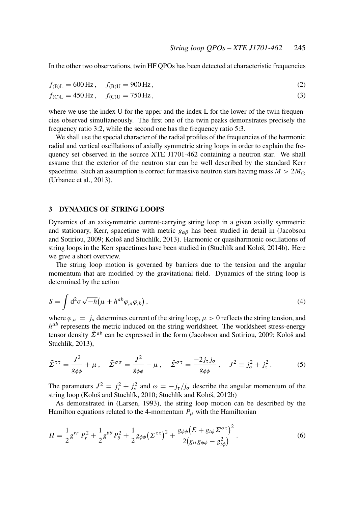In the other two observations, twin HF QPOs has been detected at characteristic frequencies

$$
f_{\text{(B)L}} = 600 \,\text{Hz}, \quad f_{\text{(B)U}} = 900 \,\text{Hz}, \tag{2}
$$

$$
f_{\text{(C)L}} = 450 \,\text{Hz}, \quad f_{\text{(C)U}} = 750 \,\text{Hz}, \tag{3}
$$

where we use the index U for the upper and the index L for the lower of the twin frequencies observed simultaneously. The first one of the twin peaks demonstrates precisely the frequency ratio 3:2, while the second one has the frequency ratio 5:3.

We shall use the special character of the radial profiles of the frequencies of the harmonic radial and vertical oscillations of axially symmetric string loops in order to explain the frequency set observed in the source XTE J1701-462 containing a neutron star. We shall assume that the exterior of the neutron star can be well described by the standard Kerr spacetime. Such an assumption is correct for massive neutron stars having mass  $M > 2M_{\odot}$ (Urbanec et al., 2013).

#### 3 DYNAMICS OF STRING LOOPS

Dynamics of an axisymmetric current-carrying string loop in a given axially symmetric and stationary, Kerr, spacetime with metric  $g_{\alpha\beta}$  has been studied in detail in (Jacobson and Sotiriou, 2009; Kološ and Stuchlík, 2013). Harmonic or quasiharmonic oscillations of string loops in the Kerr spacetimes have been studied in (Stuchlík and Kološ, 2014b). Here we give a short overview.

The string loop motion is governed by barriers due to the tension and the angular momentum that are modified by the gravitational field. Dynamics of the string loop is determined by the action

$$
S = \int d^2 \sigma \sqrt{-h} \left( \mu + h^{ab} \varphi_{,a} \varphi_{,b} \right), \tag{4}
$$

where  $\varphi_{,a} = j_a$  determines current of the string loop,  $\mu > 0$  reflects the string tension, and *h ab* represents the metric induced on the string worldsheet. The worldsheet stress-energy tensor density  $\tilde{\Sigma}^{ab}$  can be expressed in the form (Jacobson and Sotiriou, 2009; Kološ and Stuchlík, 2013),

$$
\tilde{\Sigma}^{\tau\tau} = \frac{J^2}{g_{\phi\phi}} + \mu \,, \quad \tilde{\Sigma}^{\sigma\sigma} = \frac{J^2}{g_{\phi\phi}} - \mu \,, \quad \tilde{\Sigma}^{\sigma\tau} = \frac{-2j_{\tau}j_{\sigma}}{g_{\phi\phi}} \,, \quad J^2 \equiv j_{\sigma}^2 + j_{\tau}^2 \,. \tag{5}
$$

The parameters  $J^2 = j_\tau^2 + j_\sigma^2$  and  $\omega = -j_\tau/j_\sigma$  describe the angular momentum of the string loop (Kološ and Stuchlík, 2010; Stuchlík and Kološ, 2012b)

As demonstrated in (Larsen, 1993), the string loop motion can be described by the Hamilton equations related to the 4-momentum  $P_{\mu}$  with the Hamiltonian

$$
H = \frac{1}{2}g^{rr} P_r^2 + \frac{1}{2}g^{\theta\theta} P_\theta^2 + \frac{1}{2}g_{\phi\phi} (\Sigma^{\tau\tau})^2 + \frac{g_{\phi\phi}(E + g_{t\phi} \Sigma^{\sigma\tau})^2}{2(g_{tt}g_{\phi\phi} - g_{t\phi}^2)}.
$$
(6)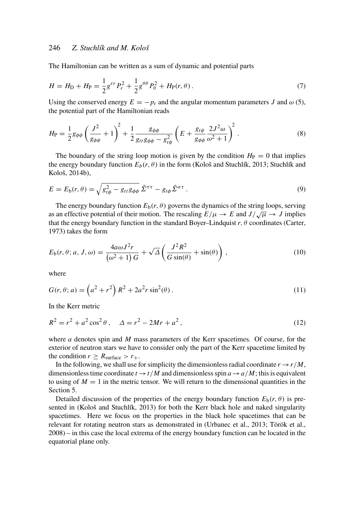The Hamiltonian can be written as a sum of dynamic and potential parts

$$
H = H_{\rm D} + H_{\rm P} = \frac{1}{2} g^{rr} P_r^2 + \frac{1}{2} g^{\theta \theta} P_{\theta}^2 + H_{\rm P}(r, \theta) \,. \tag{7}
$$

Using the conserved energy  $E = -p_t$  and the angular momentum parameters *J* and  $\omega$  (5), the potential part of the Hamiltonian reads

$$
H_{\rm P} = \frac{1}{2} g_{\phi\phi} \left( \frac{J^2}{g_{\phi\phi}} + 1 \right)^2 + \frac{1}{2} \frac{g_{\phi\phi}}{g_{tt} g_{\phi\phi} - g_{t\phi}^2} \left( E + \frac{g_{t\phi}}{g_{\phi\phi}} \frac{2J^2 \omega}{\omega^2 + 1} \right)^2.
$$
 (8)

The boundary of the string loop motion is given by the condition  $H_P = 0$  that implies the energy boundary function  $E_b(r, \theta)$  in the form (Kološ and Stuchlík, 2013; Stuchlík and Kološ, 2014b),

$$
E = E_{\mathfrak{b}}(r,\theta) = \sqrt{g_{t\phi}^2 - g_{tt}g_{\phi\phi}}\,\tilde{\Sigma}^{\tau\tau} - g_{t\phi}\tilde{\Sigma}^{\sigma\tau}\,. \tag{9}
$$

The energy boundary function  $E_b(r, \theta)$  governs the dynamics of the string loops, serving as an effective potential of their motion. The rescaling  $E/\mu \to E$  and  $J/\sqrt{\mu} \to J$  implies that the energy boundary function in the standard Boyer–Lindquist *r*, θ coordinates (Carter, 1973) takes the form

$$
E_{\mathbf{b}}(r,\theta;a,J,\omega) = \frac{4a\omega J^2r}{(\omega^2+1)G} + \sqrt{\Delta} \left( \frac{J^2R^2}{G\sin(\theta)} + \sin(\theta) \right),\tag{10}
$$

where

$$
G(r, \theta; a) = (a^2 + r^2) R^2 + 2a^2 r \sin^2(\theta).
$$
 (11)

In the Kerr metric

$$
R^{2} = r^{2} + a^{2} \cos^{2} \theta , \quad \Delta = r^{2} - 2Mr + a^{2}, \tag{12}
$$

where *a* denotes spin and *M* mass parameters of the Kerr spacetimes. Of course, for the exterior of neutron stars we have to consider only the part of the Kerr spacetime limited by the condition  $r \geq R_{\text{surface}} > r_+$ .

In the following, we shall use for simplicity the dimensionless radial coordinate  $r \rightarrow r/M$ , dimensionless time coordinate  $t \rightarrow t/M$  and dimensionless spin  $a \rightarrow a/M$ ; this is equivalent to using of  $M = 1$  in the metric tensor. We will return to the dimensional quantities in the Section 5.

Detailed discussion of the properties of the energy boundary function  $E_b(r, \theta)$  is presented in (Kološ and Stuchlík, 2013) for both the Kerr black hole and naked singularity spacetimes. Here we focus on the properties in the black hole spacetimes that can be relevant for rotating neutron stars as demonstrated in (Urbanec et al., 2013; Török et al., 2008) – in this case the local extrema of the energy boundary function can be located in the equatorial plane only.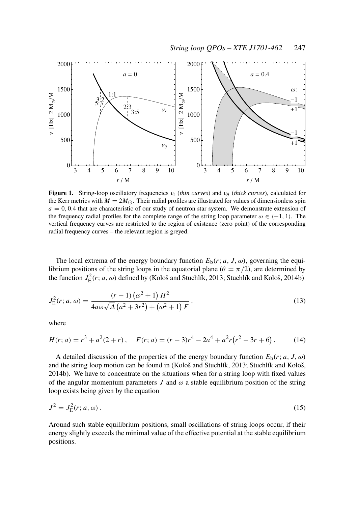

**Figure 1.** String-loop oscillatory frequencies  $v_r$  (*thin curves*) and  $v_\theta$  (*thick curves*), calculated for the Kerr metrics with  $M = 2M_{\odot}$ . Their radial profiles are illustrated for values of dimensionless spin  $a = 0, 0.4$  that are characteristic of our study of neutron star system. We demonstrate extension of the frequency radial profiles for the complete range of the string loop parameter  $\omega \in \langle -1, 1 \rangle$ . The vertical frequency curves are restricted to the region of existence (zero point) of the corresponding radial frequency curves – the relevant region is greyed.

The local extrema of the energy boundary function  $E_b(r; a, J, \omega)$ , governing the equilibrium positions of the string loops in the equatorial plane ( $\theta = \pi/2$ ), are determined by the function  $J_{\rm E}^2(r; a, \omega)$  defined by (Kološ and Stuchlík, 2013; Stuchlík and Kološ, 2014b)

$$
J_{\rm E}^2(r; a, \omega) = \frac{(r-1)\left(\omega^2 + 1\right)H^2}{4a\omega\sqrt{\Delta}\left(a^2 + 3r^2\right) + \left(\omega^2 + 1\right)F},\tag{13}
$$

where

$$
H(r; a) = r3 + a2(2+r), \quad F(r; a) = (r-3)r4 - 2a4 + a2r(r2 - 3r + 6).
$$
 (14)

A detailed discussion of the properties of the energy boundary function  $E_b(r; a, J, \omega)$ and the string loop motion can be found in (Kološ and Stuchlík, 2013; Stuchlík and Kološ, 2014b). We have to concentrate on the situations when for a string loop with fixed values of the angular momentum parameters *J* and  $\omega$  a stable equilibrium position of the string loop exists being given by the equation

$$
J^2 = J_{\rm E}^2(r; a, \omega) \,. \tag{15}
$$

Around such stable equilibrium positions, small oscillations of string loops occur, if their energy slightly exceeds the minimal value of the effective potential at the stable equilibrium positions.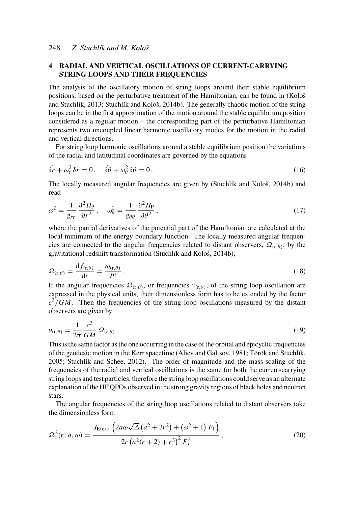# 4 RADIAL AND VERTICAL OSCILLATIONS OF CURRENT-CARRYING STRING LOOPS AND THEIR FREQUENCIES

The analysis of the oscillatory motion of string loops around their stable equilibrium positions, based on the perturbative treatment of the Hamiltonian, can be found in (Kološ and Stuchlík, 2013; Stuchlík and Kološ, 2014b). The generally chaotic motion of the string loops can be in the first approximation of the motion around the stable equilibrium position considered as a regular motion – the corresponding part of the perturbative Hamiltonian represents two uncoupled linear harmonic oscillatory modes for the motion in the radial and vertical directions.

For string loop harmonic oscillations around a stable equilibrium position the variations of the radial and latitudinal coordinates are governed by the equations

$$
\ddot{\delta r} + \omega_{\rm r}^2 \delta r = 0, \quad \ddot{\delta \theta} + \omega_{\theta}^2 \delta \theta = 0.
$$
 (16)

The locally measured angular frequencies are given by (Stuchlík and Kološ, 2014b) and read

$$
\omega_{\rm r}^2 = \frac{1}{g_{rr}} \frac{\partial^2 H_{\rm P}}{\partial r^2}, \quad \omega_{\theta}^2 = \frac{1}{g_{\theta\theta}} \frac{\partial^2 H_{\rm P}}{\partial \theta^2}, \tag{17}
$$

where the partial derivatives of the potential part of the Hamiltonian are calculated at the local minimum of the energy boundary function. The locally measured angular frequencies are connected to the angular frequencies related to distant observers,  $\Omega_{(r,\theta)}$ , by the gravitational redshift transformation (Stuchlík and Kološ, 2014b),

$$
\Omega_{(\mathbf{r},\theta)} = \frac{\mathrm{d}f_{(\mathbf{r},\theta)}}{\mathrm{d}t} = \frac{\omega_{(\mathbf{r},\theta)}}{P^t} \,. \tag{18}
$$

If the angular frequencies  $\Omega_{(r,\theta)}$ , or frequencies  $v_{(r,\theta)}$ , of the string loop oscillation are expressed in the physical units, their dimensionless form has to be extended by the factor  $c^3/GM$ . Then the frequencies of the string loop oscillations measured by the distant observers are given by

$$
\nu_{(\mathbf{r},\theta)} = \frac{1}{2\pi} \frac{c^3}{GM} \,\Omega_{(r,\theta)}\,. \tag{19}
$$

This is the same factor as the one occurring in the case of the orbital and epicyclic frequencies of the geodesic motion in the Kerr spacetime (Aliev and Galtsov, 1981; Török and Stuchlík, 2005; Stuchlík and Schee, 2012). The order of magnitude and the mass-scaling of the frequencies of the radial and vertical oscillations is the same for both the current-carrying string loops and test particles, therefore the string loop oscillations could serve as an alternate explanation of the HF QPOs observed in the strong gravity regions of black holes and neutron stars.

The angular frequencies of the string loop oscillations related to distant observers take the dimensionless form

$$
\Omega_{\rm r}^{2}(r; a, \omega) = \frac{J_{\rm E(ex)} \left(2a\omega\sqrt{\Delta} \left(a^{2} + 3r^{2}\right) + \left(\omega^{2} + 1\right)F_{1}\right)}{2r\left(a^{2}(r+2) + r^{3}\right)^{2}F_{3}^{2}},
$$
\n(20)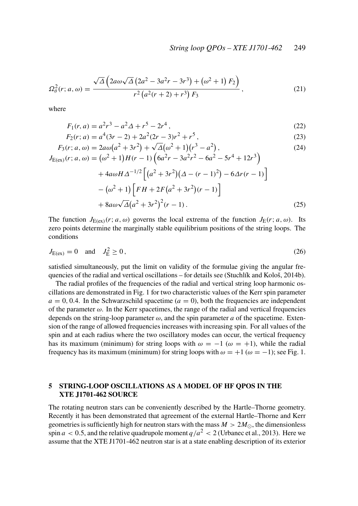$$
\Omega_{\theta}^{2}(r; a, \omega) = \frac{\sqrt{\Delta} \left(2a\omega\sqrt{\Delta}\left(2a^{2} - 3a^{2}r - 3r^{3}\right) + \left(\omega^{2} + 1\right)F_{2}\right)}{r^{2}\left(a^{2}(r + 2) + r^{3}\right)F_{3}},
$$
\n(21)

where

$$
F_1(r, a) = a^2r^3 - a^2\Delta + r^5 - 2r^4,
$$
\n(22)

$$
F_2(r; a) = a^4(3r - 2) + 2a^2(2r - 3)r^2 + r^5,
$$
\n
$$
F_2(r; a, a) = 2a(a^2 + 3r^2) + \sqrt{A(a^2 + 1)(r^3 - a^2)}
$$
\n(23)

$$
F_3(r; a, \omega) = 2a\omega(a^2 + 3r^2) + \sqrt{\Delta}(\omega^2 + 1)(r^3 - a^2),
$$
\n
$$
J_{E(ex)}(r; a, \omega) = (\omega^2 + 1)H(r - 1)\left(6a^2r - 3a^2r^2 - 6a^2 - 5r^4 + 12r^3\right)
$$
\n
$$
+ 4a\omega H \Delta^{-1/2} \left[ (a^2 + 3r^2)(\Delta - (r - 1)^2) - 6\Delta r(r - 1) \right]
$$
\n
$$
- (\omega^2 + 1) \left[ FH + 2F(a^2 + 3r^2)(r - 1) \right]
$$
\n
$$
+ 8a\omega \sqrt{\Delta}(a^2 + 3r^2)^2(r - 1).
$$
\n(25)

The function  $J_{E(ex)}(r; a, \omega)$  governs the local extrema of the function  $J_{E}(r; a, \omega)$ . Its zero points determine the marginally stable equilibrium positions of the string loops. The conditions

$$
J_{E(ex)} = 0 \quad \text{and} \quad J_E^2 \ge 0 \,, \tag{26}
$$

satisfied simultaneously, put the limit on validity of the formulae giving the angular frequencies of the radial and vertical oscillations – for details see (Stuchlík and Kološ, 2014b).

The radial profiles of the frequencies of the radial and vertical string loop harmonic oscillations are demonstrated in Fig. 1 for two characteristic values of the Kerr spin parameter  $a = 0, 0.4$ . In the Schwarzschild spacetime  $(a = 0)$ , both the frequencies are independent of the parameter  $\omega$ . In the Kerr spacetimes, the range of the radial and vertical frequencies depends on the string-loop parameter  $\omega$ , and the spin parameter *a* of the spacetime. Extension of the range of allowed frequencies increases with increasing spin. For all values of the spin and at each radius where the two oscillatory modes can occur, the vertical frequency has its maximum (minimum) for string loops with  $\omega = -1$  ( $\omega = +1$ ), while the radial frequency has its maximum (minimum) for string loops with  $\omega = +1$  ( $\omega = -1$ ); see Fig. 1.

# 5 STRING-LOOP OSCILLATIONS AS A MODEL OF HF QPOS IN THE XTE J1701-462 SOURCE

The rotating neutron stars can be conveniently described by the Hartle–Thorne geometry. Recently it has been demonstrated that agreement of the external Hartle–Thorne and Kerr geometries is sufficiently high for neutron stars with the mass  $M > 2M_{\odot}$ , the dimensionless spin  $a < 0.5$ , and the relative quadrupole moment  $q/a^2 < 2$  (Urbanec et al., 2013). Here we assume that the XTE J1701-462 neutron star is at a state enabling description of its exterior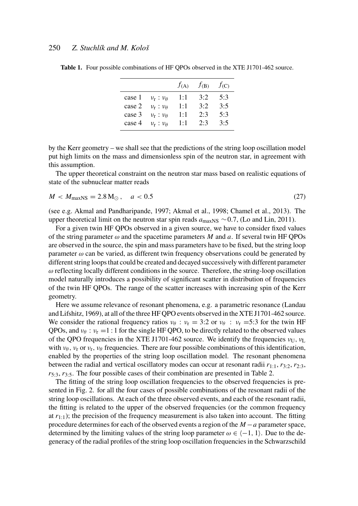|        |                  | f(A)        | f(B) | f(C) |
|--------|------------------|-------------|------|------|
| case 1 | $v_r : v_\theta$ | 1:1         | 3:2  | 5:3  |
| case 2 | $v_r : v_\theta$ | 1:1         | 3.2  | 3:5  |
| case 3 | $v_r : v_\theta$ | 1:1         | 2:3  | 5:3  |
| case 4 | $v_r : v_\theta$ | $1 \cdot 1$ | 2.3  | 3:5  |

Table 1. Four possible combinations of HF QPOs observed in the XTE J1701-462 source.

by the Kerr geometry – we shall see that the predictions of the string loop oscillation model put high limits on the mass and dimensionless spin of the neutron star, in agreement with this assumption.

The upper theoretical constraint on the neutron star mass based on realistic equations of state of the subnuclear matter reads

$$
M < M_{\text{maxNS}} = 2.8 \, \text{M}_{\odot} \,, \quad a < 0.5 \tag{27}
$$

(see e.g. Akmal and Pandharipande, 1997; Akmal et al., 1998; Chamel et al., 2013). The upper theoretical limit on the neutron star spin reads  $a_{\text{maxNS}} \sim 0.7$ , (Lo and Lin, 2011).

For a given twin HF QPOs observed in a given source, we have to consider fixed values of the string parameter  $\omega$  and the spacetime parameters *M* and *a*. If several twin HF QPOs are observed in the source, the spin and mass parameters have to be fixed, but the string loop parameter  $\omega$  can be varied, as different twin frequency observations could be generated by different string loops that could be created and decayed successively with different parameter  $\omega$  reflecting locally different conditions in the source. Therefore, the string-loop oscillation model naturally introduces a possibility of significant scatter in distribution of frequencies of the twin HF QPOs. The range of the scatter increases with increasing spin of the Kerr geometry.

Here we assume relevance of resonant phenomena, e.g. a parametric resonance (Landau and Lifshitz, 1969), at all of the three HF QPO events observed in the XTE J1701-462 source. We consider the rational frequency ratios  $v_{\theta}$  :  $v_{r} = 3.2$  or  $v_{\theta}$  :  $v_{r} = 5.3$  for the twin HF QPOs, and  $v_\theta$ :  $v_r = 1$ : 1 for the single HF QPO, to be directly related to the observed values of the QPO frequencies in the XTE J1701-462 source. We identify the frequencies  $v_U$ ,  $v_L$ with  $v_{\theta}$ ,  $v_{\tau}$  or  $v_{\tau}$ ,  $v_{\theta}$  frequencies. There are four possible combinations of this identification, enabled by the properties of the string loop oscillation model. The resonant phenomena between the radial and vertical oscillatory modes can occur at resonant radii  $r_1$ . *r*5:3, *r*3:5. The four possible cases of their combination are presented in Table 2.

The fitting of the string loop oscillation frequencies to the observed frequencies is presented in Fig. 2. for all the four cases of possible combinations of the resonant radii of the string loop oscillations. At each of the three observed events, and each of the resonant radii, the fitting is related to the upper of the observed frequencies (or the common frequency at  $r_{1:1}$ ); the precision of the frequency measurement is also taken into account. The fitting procedure determines for each of the observed events a region of the *M* −*a* parameter space, determined by the limiting values of the string loop parameter  $\omega \in \langle -1, 1 \rangle$ . Due to the degeneracy of the radial profiles of the string loop oscillation frequencies in the Schwarzschild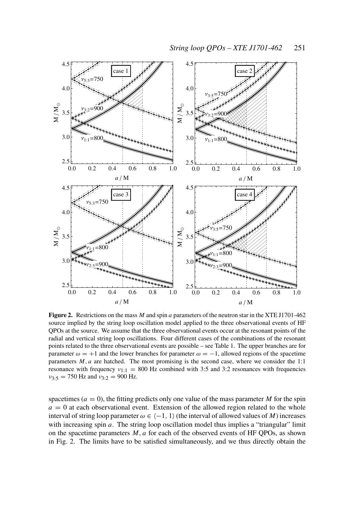

Figure 2. Restrictions on the mass *M* and spin *a* parameters of the neutron star in the XTE J1701-462 source implied by the string loop oscillation model applied to the three observational events of HF QPOs at the source. We assume that the three observational events occur at the resonant points of the radial and vertical string loop oscillations. Four different cases of the combinations of the resonant points related to the three observational events are possible – see Table 1. The upper branches are for parameter  $\omega = +1$  and the lower branches for parameter  $\omega = -1$ , allowed regions of the spacetime parameters *M*, *a* are hatched. The most promising is the second case, where we consider the 1:1 resonance with frequency  $v_{1:1} = 800$  Hz combined with 3:5 and 3:2 resonances with frequencies  $v_{3:5}$  = 750 Hz and  $v_{3:2}$  = 900 Hz.

spacetimes ( $a = 0$ ), the fitting predicts only one value of the mass parameter *M* for the spin  $a = 0$  at each observational event. Extension of the allowed region related to the whole interval of string loop parameter  $\omega \in \{-1, 1\}$  (the interval of allowed values of *M*) increases with increasing spin *a*. The string loop oscillation model thus implies a "triangular" limit on the spacetime parameters *M*, *a* for each of the observed events of HF QPOs, as shown in Fig. 2. The limits have to be satisfied simultaneously, and we thus directly obtain the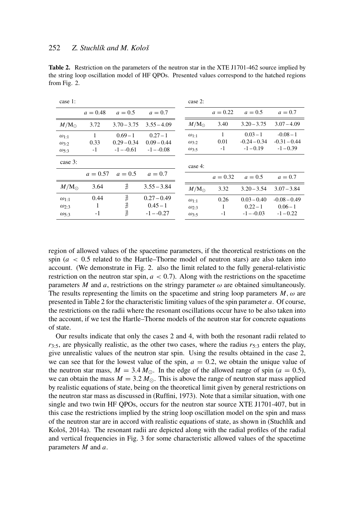case 1:

| case 1.                                                     |                   |                                             |                                             | case 2.                                            |                   |                                             |                                              |
|-------------------------------------------------------------|-------------------|---------------------------------------------|---------------------------------------------|----------------------------------------------------|-------------------|---------------------------------------------|----------------------------------------------|
|                                                             | $a = 0.48$        | $a = 0.5$                                   | $a = 0.7$                                   |                                                    | $a = 0.22$        | $a = 0.5$                                   | $a = 0.7$                                    |
| $M/M_{\odot}$                                               | 3.72              | $3.70 - 3.75$                               | $3.55 - 4.09$                               | $M/M_{\odot}$                                      | 3.40              | $3.20 - 3.75$                               | $3.07 - 4.09$                                |
| $\omega_{1:1}$<br>$\omega_{3:2}$<br>$\omega$ 5.3            | 1<br>0.33<br>$-1$ | $0.69 - 1$<br>$0.29 - 0.34$<br>$-1 - -0.61$ | $0.27 - 1$<br>$0.09 - 0.44$<br>$-1 - -0.08$ | $\omega_{1:1}$<br>$\omega_{3:2}$<br>$\omega_{3:5}$ | 1<br>0.01<br>$-1$ | $0.03 - 1$<br>$-0.24 - 0.34$<br>$-1 - 0.19$ | $-0.08 - 1$<br>$-0.31 - 0.44$<br>$-1 - 0.39$ |
| case 3:                                                     |                   |                                             |                                             | case 4:                                            |                   |                                             |                                              |
|                                                             | $a = 0.57$        | $a = 0.5$                                   | $a = 0.7$                                   |                                                    | $a = 0.32$        | $a = 0.5$                                   | $a = 0.7$                                    |
| $M/M_{\odot}$                                               | 3.64              | ∄                                           | $3.55 - 3.84$                               | $M/M_{\odot}$                                      | 3.32              | $3.20 - 3.54$                               | $3.07 - 3.84$                                |
| $\omega_{1:1}$<br>$\omega$ <sub>2:3</sub><br>$\omega_{5:3}$ | 0.44<br>$-1$      | ∄<br>$\nexists$<br>$\sharp$                 | $0.27 - 0.49$<br>$0.45 - 1$<br>$-1 - -0.27$ | $\omega_{1:1}$<br>$\omega$ 2:3<br>$\omega$ 3:5     | 0.26<br>$-1$      | $0.03 - 0.40$<br>$0.22 - 1$<br>$-1 - -0.03$ | $-0.08 - 0.49$<br>$0.06 - 1$<br>$-1 - 0.22$  |

Table 2. Restriction on the parameters of the neutron star in the XTE J1701-462 source implied by the string loop oscillation model of HF QPOs. Presented values correspond to the hatched regions from Fig. 2.

 $\cos 2$ 

region of allowed values of the spacetime parameters, if the theoretical restrictions on the spin  $(a < 0.5$  related to the Hartle–Thorne model of neutron stars) are also taken into account. (We demonstrate in Fig. 2. also the limit related to the fully general-relativistic restriction on the neutron star spin,  $a < 0.7$ ). Along with the restrictions on the spacetime parameters *M* and *a*, restrictions on the stringy parameter  $\omega$  are obtained simultaneously. The results representing the limits on the spacetime and string loop parameters  $M$ ,  $\omega$  are presented in Table 2 for the characteristic limiting values of the spin parameter *a*. Of course, the restrictions on the radii where the resonant oscillations occur have to be also taken into the account, if we test the Hartle–Thorne models of the neutron star for concrete equations of state.

Our results indicate that only the cases 2 and 4, with both the resonant radii related to  $r_3$ :5, are physically realistic, as the other two cases, where the radius  $r_5$ :3 enters the play, give unrealistic values of the neutron star spin. Using the results obtained in the case 2, we can see that for the lowest value of the spin,  $a = 0.2$ , we obtain the unique value of the neutron star mass,  $M = 3.4 M_{\odot}$ . In the edge of the allowed range of spin ( $a = 0.5$ ), we can obtain the mass  $M = 3.2 M_{\odot}$ . This is above the range of neutron star mass applied by realistic equations of state, being on the theoretical limit given by general restrictions on the neutron star mass as discussed in (Ruffini, 1973). Note that a similar situation, with one single and two twin HF QPOs, occurs for the neutron star source XTE J1701-407, but in this case the restrictions implied by the string loop oscillation model on the spin and mass of the neutron star are in accord with realistic equations of state, as shown in (Stuchlík and Kološ, 2014a). The resonant radii are depicted along with the radial profiles of the radial and vertical frequencies in Fig. 3 for some characteristic allowed values of the spacetime parameters *M* and *a*.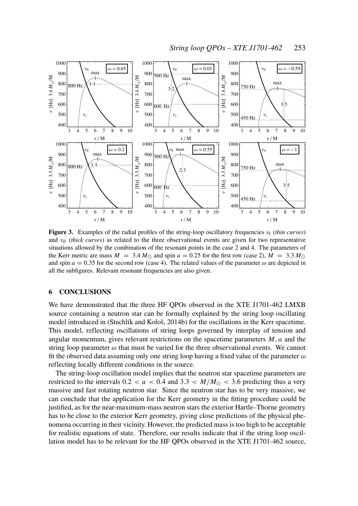

*String loop QPOs – XTE J1701-462* 253

Figure 3. Examples of the radial profiles of the string-loop oscillatory frequencies νr (*thin curves*) and  $v_{\theta}$  (*thick curves*) as related to the three observational events are given for two representative situations allowed by the combination of the resonant points in the case 2 and 4. The parameters of the Kerr metric are mass  $M = 3.4 M_{\odot}$  and spin  $a = 0.25$  for the first row (case 2),  $M = 3.3 M_{\odot}$ and spin  $a = 0.35$  for the second row (case 4). The related values of the parameter  $\omega$  are depicted in all the subfigures. Relevant resonant frequencies are also given.

#### 6 CONCLUSIONS

We have demonstrated that the three HF QPOs observed in the XTE J1701-462 LMXB source containing a neutron star can be formally explained by the string loop oscillating model introduced in (Stuchlík and Kološ, 2014b) for the oscillations in the Kerr spacetime. This model, reflecting oscillations of string loops governed by interplay of tension and angular momentum, gives relevant restrictions on the spacetime parameters *M*, *a* and the string loop parameter  $\omega$  that must be varied for the three observational events. We cannot fit the observed data assuming only one string loop having a fixed value of the parameter  $\omega$ reflecting locally different conditions in the source.

The string-loop oscillation model implies that the neutron star spacetime parameters are restricted to the intervals  $0.2 < a < 0.4$  and  $3.3 < M/M_{\odot} < 3.6$  predicting thus a very massive and fast rotating neutron star. Since the neutron star has to be very massive, we can conclude that the application for the Kerr geometry in the fitting procedure could be justified, as for the near-maximum-mass neutron stars the exterior Hartle–Thorne geometry has to be close to the exterior Kerr geometry, giving close predictions of the physical phenomena occurring in their vicinity. However, the predicted mass is too high to be acceptable for realistic equations of state. Therefore, our results indicate that if the string loop oscillation model has to be relevant for the HF QPOs observed in the XTE J1701-462 source,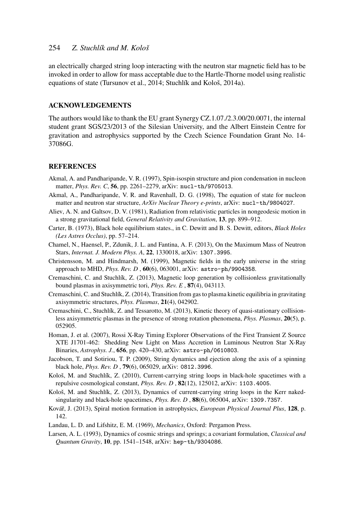an electrically charged string loop interacting with the neutron star magnetic field has to be invoked in order to allow for mass acceptable due to the Hartle-Thorne model using realistic equations of state (Tursunov et al., 2014; Stuchlík and Kološ, 2014a).

#### ACKNOWLEDGEMENTS

The authors would like to thank the EU grant Synergy CZ.1.07./2.3.00/20.0071, the internal student grant SGS/23/2013 of the Silesian University, and the Albert Einstein Centre for gravitation and astrophysics supported by the Czech Science Foundation Grant No. 14- 37086G.

#### **REFERENCES**

- Akmal, A. and Pandharipande, V. R. (1997), Spin-isospin structure and pion condensation in nucleon matter, *Phys. Rev. C*, 56, pp. 2261–2279, arXiv: nucl-th/9705013.
- Akmal, A., Pandharipande, V. R. and Ravenhall, D. G. (1998), The equation of state for nucleon matter and neutron star structure, *ArXiv Nuclear Theory e-prints*, arXiv: nucl-th/9804027.
- Aliev, A. N. and Galtsov, D. V. (1981), Radiation from relativistic particles in nongeodesic motion in a strong gravitational field, *General Relativity and Gravitation*, 13, pp. 899–912.
- Carter, B. (1973), Black hole equilibrium states., in C. Dewitt and B. S. Dewitt, editors, *Black Holes (Les Astres Occlus)*, pp. 57–214.
- Chamel, N., Haensel, P., Zdunik, J. L. and Fantina, A. F. (2013), On the Maximum Mass of Neutron Stars, *Internat. J. Modern Phys. A*, 22, 1330018, arXiv: 1307.3995.
- Christensson, M. and Hindmarsh, M. (1999), Magnetic fields in the early universe in the string approach to MHD, *Phys. Rev. D* , 60(6), 063001, arXiv: astro-ph/9904358.
- Cremaschini, C. and Stuchlík, Z. (2013), Magnetic loop generation by collisionless gravitationally bound plasmas in axisymmetric tori, *Phys. Rev. E* , 87(4), 043113.
- Cremaschini, C. and Stuchlík, Z. (2014), Transition from gas to plasma kinetic equilibria in gravitating axisymmetric structures, *Phys. Plasmas*, 21(4), 042902.
- Cremaschini, C., Stuchlík, Z. and Tessarotto, M. (2013), Kinetic theory of quasi-stationary collisionless axisymmetric plasmas in the presence of strong rotation phenomena, *Phys. Plasmas*, 20(5), p. 052905.
- Homan, J. et al. (2007), Rossi X-Ray Timing Explorer Observations of the First Transient Z Source XTE J1701-462: Shedding New Light on Mass Accretion in Luminous Neutron Star X-Ray Binaries, *Astrophys. J.*, 656, pp. 420–430, arXiv: astro-ph/0610803.
- Jacobson, T. and Sotiriou, T. P. (2009), String dynamics and ejection along the axis of a spinning black hole, *Phys. Rev. D* , 79(6), 065029, arXiv: 0812.3996.
- Kološ, M. and Stuchlík, Z. (2010), Current-carrying string loops in black-hole spacetimes with a repulsive cosmological constant, *Phys. Rev. D* , 82(12), 125012, arXiv: 1103.4005.
- Kološ, M. and Stuchlík, Z. (2013), Dynamics of current-carrying string loops in the Kerr nakedsingularity and black-hole spacetimes, *Phys. Rev. D* , 88(6), 065004, arXiv: 1309.7357.
- Kovář, J. (2013), Spiral motion formation in astrophysics, *European Physical Journal Plus*, 128, p. 142.
- Landau, L. D. and Lifshitz, E. M. (1969), *Mechanics*, Oxford: Pergamon Press.
- Larsen, A. L. (1993), Dynamics of cosmic strings and springs; a covariant formulation, *Classical and Quantum Gravity*, 10, pp. 1541–1548, arXiv: hep-th/9304086.